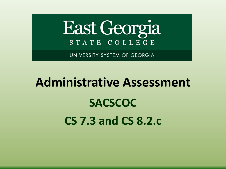

UNIVERSITY SYSTEM OF GEORGIA

# **Administrative Assessment SACSCOC CS 7.3 and CS 8.2.c**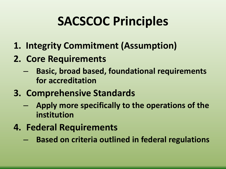## **SACSCOC Principles**

- **1. Integrity Commitment (Assumption)**
- **2. Core Requirements** 
	- **Basic, broad based, foundational requirements for accreditation**
- **3. Comprehensive Standards**
	- **Apply more specifically to the operations of the institution**
- **4. Federal Requirements** 
	- **Based on criteria outlined in federal regulations**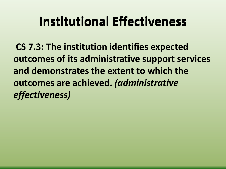## **Institutional Effectiveness**

**CS 7.3: The institution identifies expected outcomes of its administrative support services and demonstrates the extent to which the outcomes are achieved.** *(administrative effectiveness)*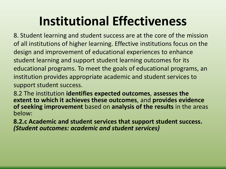## **Institutional Effectiveness**

8. Student learning and student success are at the core of the mission of all institutions of higher learning. Effective institutions focus on the design and improvement of educational experiences to enhance student learning and support student learning outcomes for its educational programs. To meet the goals of educational programs, an institution provides appropriate academic and student services to support student success.

8.2 The institution **identifies expected outcomes**, **assesses the extent to which it achieves these outcomes**, and **provides evidence of seeking improvement** based on **analysis of the results** in the areas below:

**8.2.c Academic and student services that support student success.** *(Student outcomes: academic and student services)*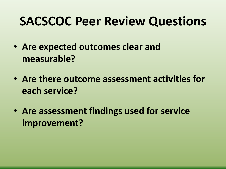#### **SACSCOC Peer Review Questions**

- **Are expected outcomes clear and measurable?**
- **Are there outcome assessment activities for each service?**
- **Are assessment findings used for service improvement?**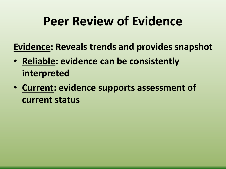## **Peer Review of Evidence**

**Evidence: Reveals trends and provides snapshot**

- **Reliable: evidence can be consistently interpreted**
- **Current: evidence supports assessment of current status**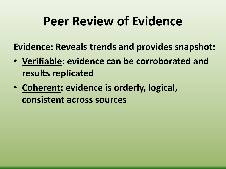## **Peer Review of Evidence**

**Evidence: Reveals trends and provides snapshot:**

- **Verifiable: evidence can be corroborated and results replicated**
- **Coherent: evidence is orderly, logical, consistent across sources**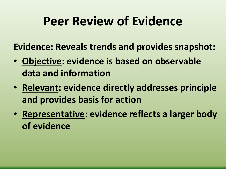## **Peer Review of Evidence**

**Evidence: Reveals trends and provides snapshot:**

- **Objective: evidence is based on observable data and information**
- **Relevant: evidence directly addresses principle and provides basis for action**
- **Representative: evidence reflects a larger body of evidence**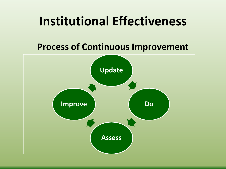#### **Institutional Effectiveness**

#### **Process of Continuous Improvement**

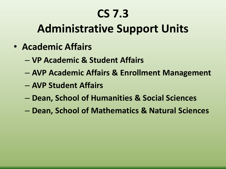#### **Administrative Support Units**

- **Academic Affairs**
	- **VP Academic & Student Affairs**
	- **AVP Academic Affairs & Enrollment Management**
	- **AVP Student Affairs**
	- **Dean, School of Humanities & Social Sciences**
	- **Dean, School of Mathematics & Natural Sciences**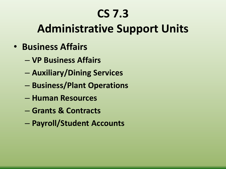#### **Administrative Support Units**

- **Business Affairs**
	- **VP Business Affairs**
	- **Auxiliary/Dining Services**
	- **Business/Plant Operations**
	- **Human Resources**
	- **Grants & Contracts**
	- **Payroll/Student Accounts**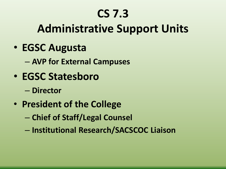#### **Administrative Support Units**

• **EGSC Augusta**

– **AVP for External Campuses**

- **EGSC Statesboro**
	- **Director**
- **President of the College**
	- **Chief of Staff/Legal Counsel**
	- **Institutional Research/SACSCOC Liaison**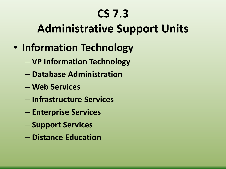#### **Administrative Support Units**

- **Information Technology** 
	- **VP Information Technology**
	- **Database Administration**
	- **Web Services**
	- **Infrastructure Services**
	- **Enterprise Services**
	- **Support Services**
	- **Distance Education**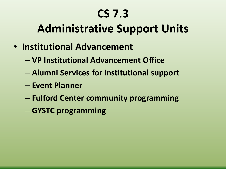#### **Administrative Support Units**

- **Institutional Advancement**
	- **VP Institutional Advancement Office**
	- **Alumni Services for institutional support**
	- **Event Planner**
	- **Fulford Center community programming**
	- **GYSTC programming**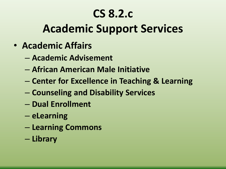#### **CS 8.2.c**

#### **Academic Support Services**

- **Academic Affairs**
	- **Academic Advisement**
	- **African American Male Initiative**
	- **Center for Excellence in Teaching & Learning**
	- **Counseling and Disability Services**
	- **Dual Enrollment**
	- **eLearning**
	- **Learning Commons**
	- **Library**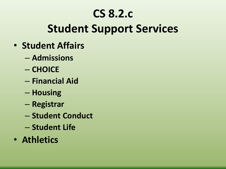#### **CS 8.2.c**

#### **Student Support Services**

- **Student Affairs**
	- **Admissions**
	- **CHOICE**
	- **Financial Aid**
	- **Housing**
	- **Registrar**
	- **Student Conduct**
	- **Student Life**
- **Athletics**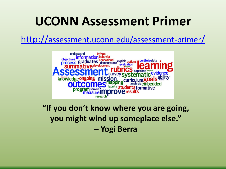#### **UCONN Assessment Primer**

<http://assessment.uconn.edu/assessment-primer/>



**"If you don't know where you are going, you might wind up someplace else." – Yogi Berra**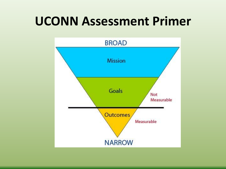#### **UCONN Assessment Primer**

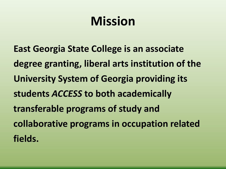## **Mission**

**East Georgia State College is an associate degree granting, liberal arts institution of the University System of Georgia providing its students** *ACCESS* **to both academically transferable programs of study and collaborative programs in occupation related fields.**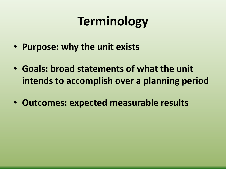## **Terminology**

- **Purpose: why the unit exists**
- **Goals: broad statements of what the unit intends to accomplish over a planning period**
- **Outcomes: expected measurable results**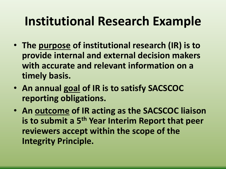## **Institutional Research Example**

- **The purpose of institutional research (IR) is to provide internal and external decision makers with accurate and relevant information on a timely basis.**
- **An annual goal of IR is to satisfy SACSCOC reporting obligations.**
- **An outcome of IR acting as the SACSCOC liaison is to submit a 5th Year Interim Report that peer reviewers accept within the scope of the Integrity Principle.**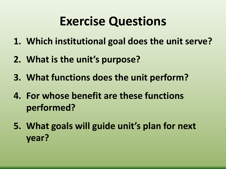## **Exercise Questions**

- **1. Which institutional goal does the unit serve?**
- **2. What is the unit's purpose?**
- **3. What functions does the unit perform?**
- **4. For whose benefit are these functions performed?**
- **5. What goals will guide unit's plan for next year?**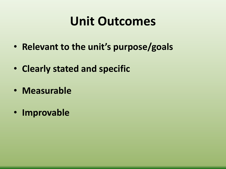### **Unit Outcomes**

- **Relevant to the unit's purpose/goals**
- **Clearly stated and specific**
- **Measurable**
- **Improvable**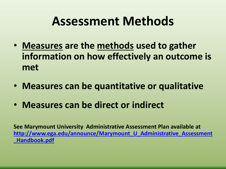## **Assessment Methods**

- **Measures are the methods used to gather information on how effectively an outcome is met**
- **Measures can be quantitative or qualitative**
- **Measures can be direct or indirect**

**See Marymount University Administrative Assessment Plan available at [http://www.ega.edu/announce/Marymount\\_U\\_Administrative\\_Assessment](http://www.ega.edu/announce/Marymount_U_Administrative_Assessment_Handbook.pdf) \_Handbook.pdf**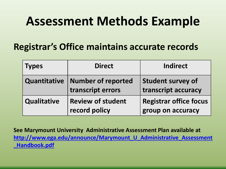## **Assessment Methods Example**

#### **Registrar's Office maintains accurate records**

| <b>Types</b>        | <b>Direct</b>                                  | <b>Indirect</b>                                    |
|---------------------|------------------------------------------------|----------------------------------------------------|
| <b>Quantitative</b> | <b>Number of reported</b><br>transcript errors | <b>Student survey of</b><br>transcript accuracy    |
| <b>Qualitative</b>  | <b>Review of student</b><br>record policy      | <b>Registrar office focus</b><br>group on accuracy |

**See Marymount University Administrative Assessment Plan available at [http://www.ega.edu/announce/Marymount\\_U\\_Administrative\\_Assessment](http://www.ega.edu/announce/Marymount_U_Administrative_Assessment_Handbook.pdf) \_Handbook.pdf**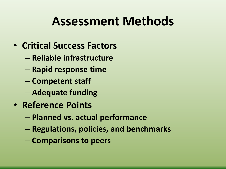## **Assessment Methods**

- **Critical Success Factors**
	- **Reliable infrastructure**
	- **Rapid response time**
	- **Competent staff**
	- **Adequate funding**
- **Reference Points**
	- **Planned vs. actual performance**
	- **Regulations, policies, and benchmarks**
	- **Comparisons to peers**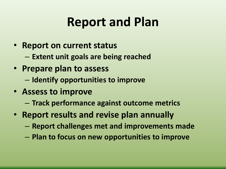## **Report and Plan**

- **Report on current status**
	- **Extent unit goals are being reached**
- **Prepare plan to assess**
	- **Identify opportunities to improve**
- **Assess to improve**
	- **Track performance against outcome metrics**
- **Report results and revise plan annually**
	- **Report challenges met and improvements made**
	- **Plan to focus on new opportunities to improve**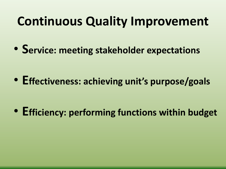## **Continuous Quality Improvement**

• **Service: meeting stakeholder expectations**

• **Effectiveness: achieving unit's purpose/goals**

• **Efficiency: performing functions within budget**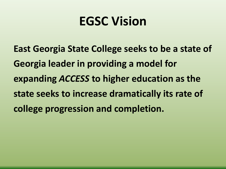## **EGSC Vision**

**East Georgia State College seeks to be a state of Georgia leader in providing a model for expanding** *ACCESS* **to higher education as the state seeks to increase dramatically its rate of college progression and completion.**